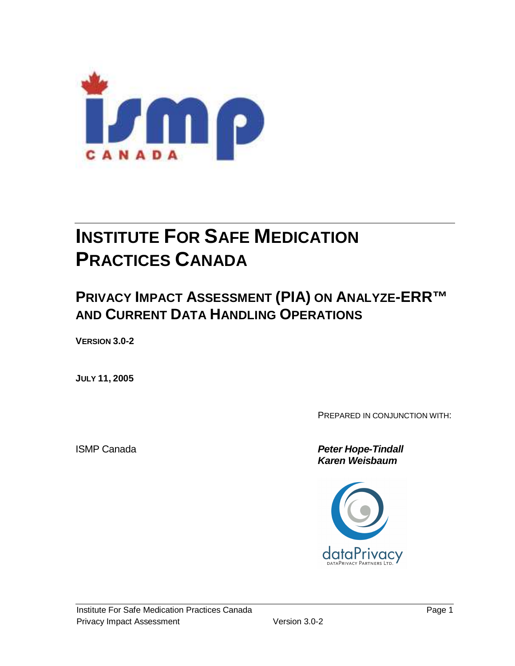

# **INSTITUTE FOR SAFE MEDICATION PRACTICES CANADA**

# **PRIVACY IMPACT ASSESSMENT (PIA) ON ANALYZE-ERR™ AND CURRENT DATA HANDLING OPERATIONS**

**VERSION 3.0-2** 

**JULY 11, 2005** 

PREPARED IN CONJUNCTION WITH:

**ISMP Canada Peter Hope-Tindall Karen Weisbaum** 

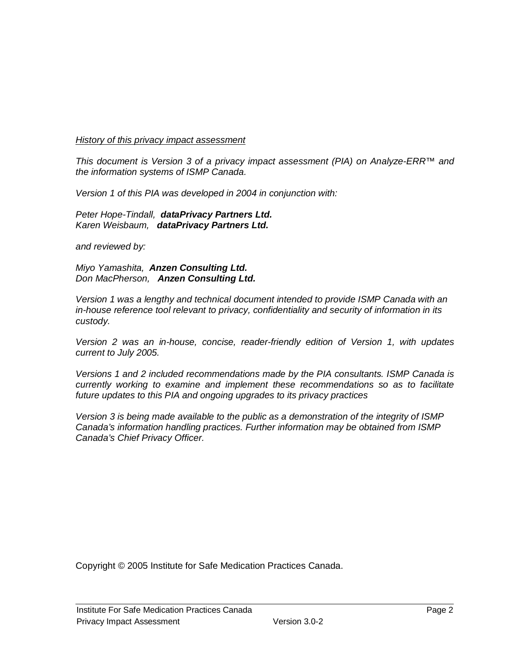#### History of this privacy impact assessment

This document is Version 3 of a privacy impact assessment (PIA) on Analyze-ERR™ and the information systems of ISMP Canada.

Version 1 of this PIA was developed in 2004 in conjunction with:

Peter Hope-Tindall, **dataPrivacy Partners Ltd.** Karen Weisbaum, **dataPrivacy Partners Ltd.**

and reviewed by:

Miyo Yamashita, **Anzen Consulting Ltd.** Don MacPherson, **Anzen Consulting Ltd.** 

Version 1 was a lengthy and technical document intended to provide ISMP Canada with an in-house reference tool relevant to privacy, confidentiality and security of information in its custody.

Version 2 was an in-house, concise, reader-friendly edition of Version 1, with updates current to July 2005.

Versions 1 and 2 included recommendations made by the PIA consultants. ISMP Canada is currently working to examine and implement these recommendations so as to facilitate future updates to this PIA and ongoing upgrades to its privacy practices

Version 3 is being made available to the public as a demonstration of the integrity of ISMP Canada's information handling practices. Further information may be obtained from ISMP Canada's Chief Privacy Officer.

Copyright © 2005 Institute for Safe Medication Practices Canada.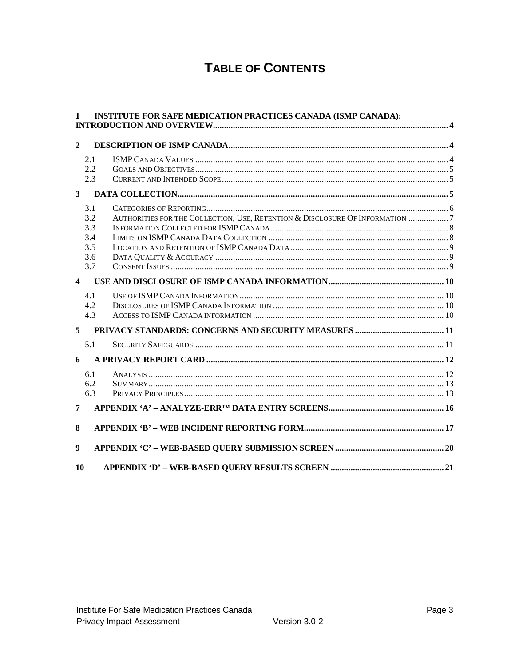# **TABLE OF CONTENTS**

| $\mathbf{1}$            |     | <b>INSTITUTE FOR SAFE MEDICATION PRACTICES CANADA (ISMP CANADA):</b>         |  |
|-------------------------|-----|------------------------------------------------------------------------------|--|
| $\overline{2}$          |     |                                                                              |  |
|                         | 2.1 |                                                                              |  |
|                         | 2.2 |                                                                              |  |
|                         | 2.3 |                                                                              |  |
| $\mathbf{3}$            |     |                                                                              |  |
|                         | 3.1 |                                                                              |  |
|                         | 3.2 | AUTHORITIES FOR THE COLLECTION, USE, RETENTION & DISCLOSURE OF INFORMATION 7 |  |
|                         | 3.3 |                                                                              |  |
|                         | 3.4 |                                                                              |  |
|                         | 3.5 |                                                                              |  |
|                         | 3.6 |                                                                              |  |
|                         | 3.7 |                                                                              |  |
| $\overline{\mathbf{4}}$ |     |                                                                              |  |
|                         | 4.1 |                                                                              |  |
|                         | 4.2 |                                                                              |  |
|                         | 4.3 |                                                                              |  |
| 5                       |     |                                                                              |  |
|                         | 5.1 |                                                                              |  |
| 6                       |     |                                                                              |  |
|                         | 6.1 |                                                                              |  |
|                         | 6.2 |                                                                              |  |
|                         | 6.3 |                                                                              |  |
| 7                       |     |                                                                              |  |
| 8                       |     |                                                                              |  |
| $\boldsymbol{9}$        |     |                                                                              |  |
| 10                      |     |                                                                              |  |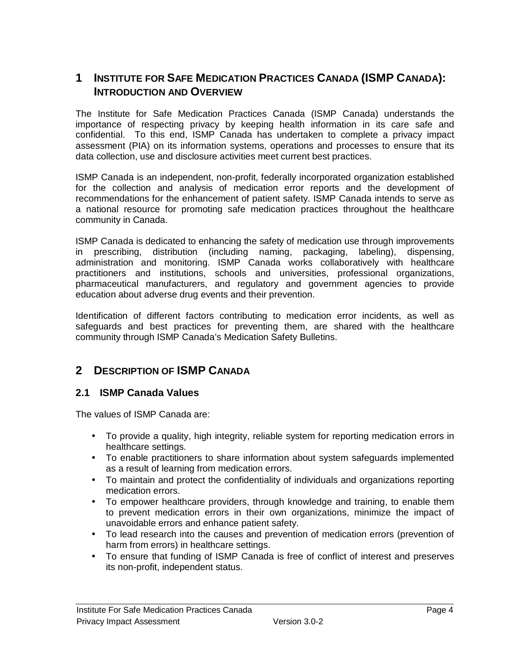## **1 INSTITUTE FOR SAFE MEDICATION PRACTICES CANADA (ISMP CANADA): INTRODUCTION AND OVERVIEW**

The Institute for Safe Medication Practices Canada (ISMP Canada) understands the importance of respecting privacy by keeping health information in its care safe and confidential. To this end, ISMP Canada has undertaken to complete a privacy impact assessment (PIA) on its information systems, operations and processes to ensure that its data collection, use and disclosure activities meet current best practices.

ISMP Canada is an independent, non-profit, federally incorporated organization established for the collection and analysis of medication error reports and the development of recommendations for the enhancement of patient safety. ISMP Canada intends to serve as a national resource for promoting safe medication practices throughout the healthcare community in Canada.

ISMP Canada is dedicated to enhancing the safety of medication use through improvements in prescribing, distribution (including naming, packaging, labeling), dispensing, administration and monitoring. ISMP Canada works collaboratively with healthcare practitioners and institutions, schools and universities, professional organizations, pharmaceutical manufacturers, and regulatory and government agencies to provide education about adverse drug events and their prevention.

Identification of different factors contributing to medication error incidents, as well as safeguards and best practices for preventing them, are shared with the healthcare community through ISMP Canada's Medication Safety Bulletins.

# **2 DESCRIPTION OF ISMP CANADA**

#### **2.1 ISMP Canada Values**

The values of ISMP Canada are:

- To provide a quality, high integrity, reliable system for reporting medication errors in healthcare settings.
- To enable practitioners to share information about system safeguards implemented as a result of learning from medication errors.
- To maintain and protect the confidentiality of individuals and organizations reporting medication errors.
- To empower healthcare providers, through knowledge and training, to enable them to prevent medication errors in their own organizations, minimize the impact of unavoidable errors and enhance patient safety.
- To lead research into the causes and prevention of medication errors (prevention of harm from errors) in healthcare settings.
- To ensure that funding of ISMP Canada is free of conflict of interest and preserves its non-profit, independent status.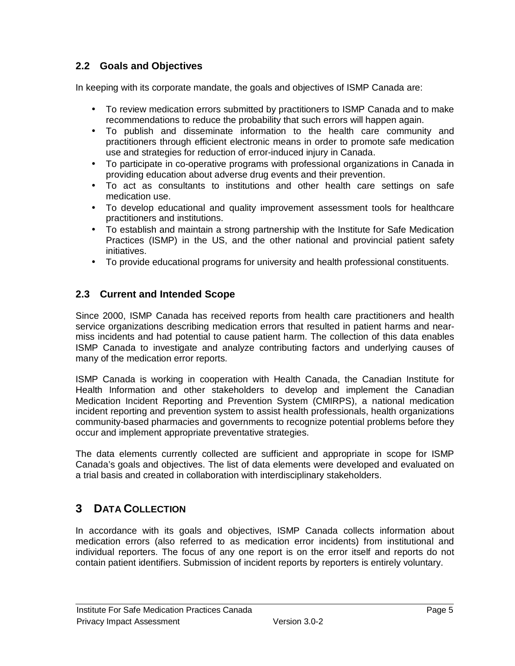#### **2.2 Goals and Objectives**

In keeping with its corporate mandate, the goals and objectives of ISMP Canada are:

- To review medication errors submitted by practitioners to ISMP Canada and to make recommendations to reduce the probability that such errors will happen again.
- To publish and disseminate information to the health care community and practitioners through efficient electronic means in order to promote safe medication use and strategies for reduction of error-induced injury in Canada.
- To participate in co-operative programs with professional organizations in Canada in providing education about adverse drug events and their prevention.
- To act as consultants to institutions and other health care settings on safe medication use.
- To develop educational and quality improvement assessment tools for healthcare practitioners and institutions.
- To establish and maintain a strong partnership with the Institute for Safe Medication Practices (ISMP) in the US, and the other national and provincial patient safety initiatives.
- To provide educational programs for university and health professional constituents.

#### **2.3 Current and Intended Scope**

Since 2000, ISMP Canada has received reports from health care practitioners and health service organizations describing medication errors that resulted in patient harms and nearmiss incidents and had potential to cause patient harm. The collection of this data enables ISMP Canada to investigate and analyze contributing factors and underlying causes of many of the medication error reports.

ISMP Canada is working in cooperation with Health Canada, the Canadian Institute for Health Information and other stakeholders to develop and implement the Canadian Medication Incident Reporting and Prevention System (CMIRPS), a national medication incident reporting and prevention system to assist health professionals, health organizations community-based pharmacies and governments to recognize potential problems before they occur and implement appropriate preventative strategies.

The data elements currently collected are sufficient and appropriate in scope for ISMP Canada's goals and objectives. The list of data elements were developed and evaluated on a trial basis and created in collaboration with interdisciplinary stakeholders.

# **3 DATA COLLECTION**

In accordance with its goals and objectives, ISMP Canada collects information about medication errors (also referred to as medication error incidents) from institutional and individual reporters. The focus of any one report is on the error itself and reports do not contain patient identifiers. Submission of incident reports by reporters is entirely voluntary.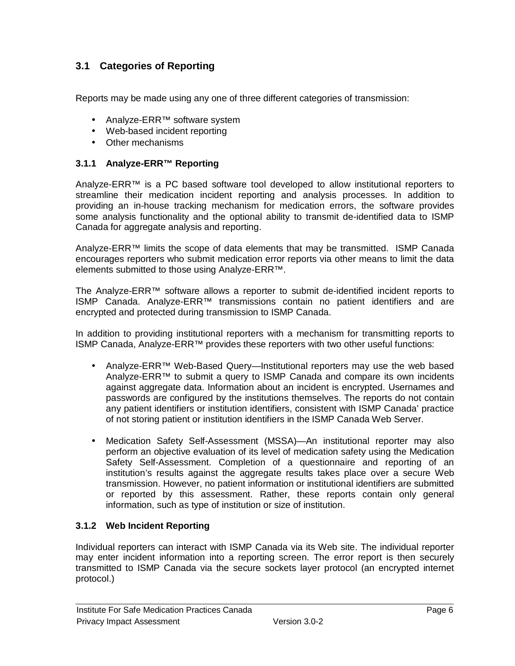## **3.1 Categories of Reporting**

Reports may be made using any one of three different categories of transmission:

- Analyze-ERR™ software system
- Web-based incident reporting
- Other mechanisms

#### **3.1.1 Analyze-ERR™ Reporting**

Analyze-ERR™ is a PC based software tool developed to allow institutional reporters to streamline their medication incident reporting and analysis processes. In addition to providing an in-house tracking mechanism for medication errors, the software provides some analysis functionality and the optional ability to transmit de-identified data to ISMP Canada for aggregate analysis and reporting.

Analyze-ERR™ limits the scope of data elements that may be transmitted. ISMP Canada encourages reporters who submit medication error reports via other means to limit the data elements submitted to those using Analyze-ERR™.

The Analyze-ERR™ software allows a reporter to submit de-identified incident reports to ISMP Canada. Analyze-ERR™ transmissions contain no patient identifiers and are encrypted and protected during transmission to ISMP Canada.

In addition to providing institutional reporters with a mechanism for transmitting reports to ISMP Canada, Analyze-ERR™ provides these reporters with two other useful functions:

- Analyze-ERR™ Web-Based Query—Institutional reporters may use the web based Analyze-ERR™ to submit a query to ISMP Canada and compare its own incidents against aggregate data. Information about an incident is encrypted. Usernames and passwords are configured by the institutions themselves. The reports do not contain any patient identifiers or institution identifiers, consistent with ISMP Canada' practice of not storing patient or institution identifiers in the ISMP Canada Web Server.
- Medication Safety Self-Assessment (MSSA)—An institutional reporter may also perform an objective evaluation of its level of medication safety using the Medication Safety Self-Assessment. Completion of a questionnaire and reporting of an institution's results against the aggregate results takes place over a secure Web transmission. However, no patient information or institutional identifiers are submitted or reported by this assessment. Rather, these reports contain only general information, such as type of institution or size of institution.

#### **3.1.2 Web Incident Reporting**

Individual reporters can interact with ISMP Canada via its Web site. The individual reporter may enter incident information into a reporting screen. The error report is then securely transmitted to ISMP Canada via the secure sockets layer protocol (an encrypted internet protocol.)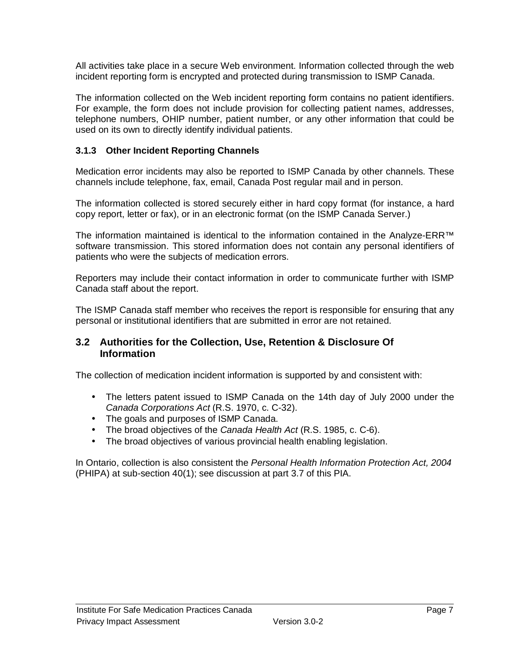All activities take place in a secure Web environment. Information collected through the web incident reporting form is encrypted and protected during transmission to ISMP Canada.

The information collected on the Web incident reporting form contains no patient identifiers. For example, the form does not include provision for collecting patient names, addresses, telephone numbers, OHIP number, patient number, or any other information that could be used on its own to directly identify individual patients.

#### **3.1.3 Other Incident Reporting Channels**

Medication error incidents may also be reported to ISMP Canada by other channels. These channels include telephone, fax, email, Canada Post regular mail and in person.

The information collected is stored securely either in hard copy format (for instance, a hard copy report, letter or fax), or in an electronic format (on the ISMP Canada Server.)

The information maintained is identical to the information contained in the Analyze-ERR™ software transmission. This stored information does not contain any personal identifiers of patients who were the subjects of medication errors.

Reporters may include their contact information in order to communicate further with ISMP Canada staff about the report.

The ISMP Canada staff member who receives the report is responsible for ensuring that any personal or institutional identifiers that are submitted in error are not retained.

#### **3.2 Authorities for the Collection, Use, Retention & Disclosure Of Information**

The collection of medication incident information is supported by and consistent with:

- The letters patent issued to ISMP Canada on the 14th day of July 2000 under the Canada Corporations Act (R.S. 1970, c. C-32).
- The goals and purposes of ISMP Canada.
- The broad objectives of the Canada Health Act (R.S. 1985, c. C-6).
- The broad objectives of various provincial health enabling legislation.

In Ontario, collection is also consistent the Personal Health Information Protection Act, 2004 (PHIPA) at sub-section 40(1); see discussion at part 3.7 of this PIA.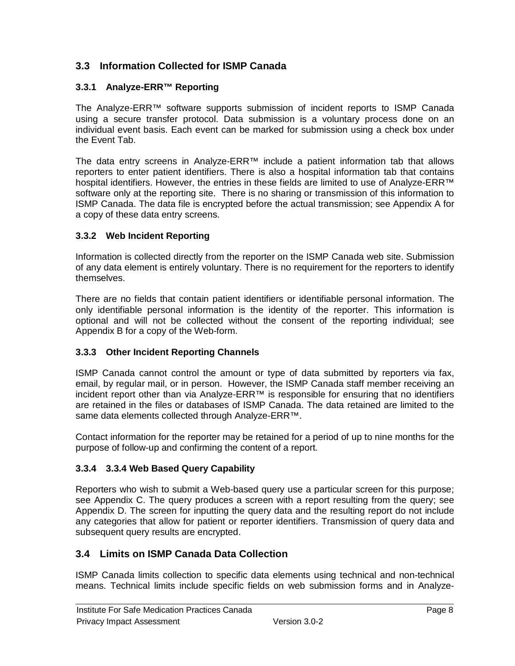### **3.3 Information Collected for ISMP Canada**

#### **3.3.1 Analyze-ERR™ Reporting**

The Analyze-ERR™ software supports submission of incident reports to ISMP Canada using a secure transfer protocol. Data submission is a voluntary process done on an individual event basis. Each event can be marked for submission using a check box under the Event Tab.

The data entry screens in Analyze-ERR™ include a patient information tab that allows reporters to enter patient identifiers. There is also a hospital information tab that contains hospital identifiers. However, the entries in these fields are limited to use of Analyze-ERR<sup>™</sup> software only at the reporting site. There is no sharing or transmission of this information to ISMP Canada. The data file is encrypted before the actual transmission; see Appendix A for a copy of these data entry screens.

#### **3.3.2 Web Incident Reporting**

Information is collected directly from the reporter on the ISMP Canada web site. Submission of any data element is entirely voluntary. There is no requirement for the reporters to identify themselves.

There are no fields that contain patient identifiers or identifiable personal information. The only identifiable personal information is the identity of the reporter. This information is optional and will not be collected without the consent of the reporting individual; see Appendix B for a copy of the Web-form.

#### **3.3.3 Other Incident Reporting Channels**

ISMP Canada cannot control the amount or type of data submitted by reporters via fax, email, by regular mail, or in person. However, the ISMP Canada staff member receiving an incident report other than via Analyze-ERR™ is responsible for ensuring that no identifiers are retained in the files or databases of ISMP Canada. The data retained are limited to the same data elements collected through Analyze-ERR™.

Contact information for the reporter may be retained for a period of up to nine months for the purpose of follow-up and confirming the content of a report.

#### **3.3.4 3.3.4 Web Based Query Capability**

Reporters who wish to submit a Web-based query use a particular screen for this purpose; see Appendix C. The query produces a screen with a report resulting from the query; see Appendix D. The screen for inputting the query data and the resulting report do not include any categories that allow for patient or reporter identifiers. Transmission of query data and subsequent query results are encrypted.

#### **3.4 Limits on ISMP Canada Data Collection**

ISMP Canada limits collection to specific data elements using technical and non-technical means. Technical limits include specific fields on web submission forms and in Analyze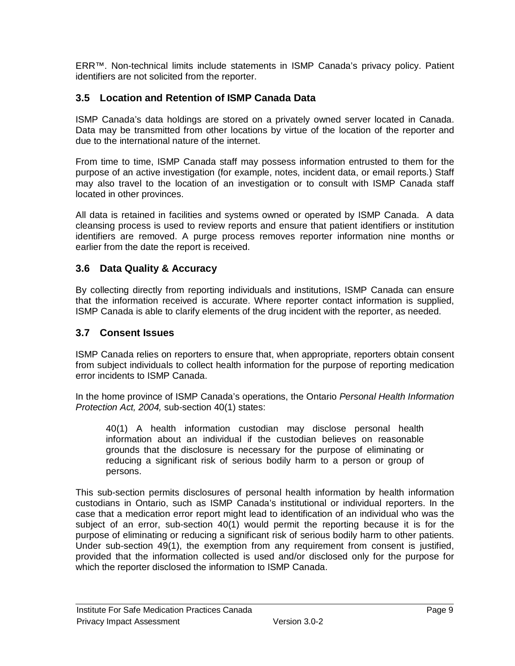ERR™. Non-technical limits include statements in ISMP Canada's privacy policy. Patient identifiers are not solicited from the reporter.

#### **3.5 Location and Retention of ISMP Canada Data**

ISMP Canada's data holdings are stored on a privately owned server located in Canada. Data may be transmitted from other locations by virtue of the location of the reporter and due to the international nature of the internet.

From time to time, ISMP Canada staff may possess information entrusted to them for the purpose of an active investigation (for example, notes, incident data, or email reports.) Staff may also travel to the location of an investigation or to consult with ISMP Canada staff located in other provinces.

All data is retained in facilities and systems owned or operated by ISMP Canada. A data cleansing process is used to review reports and ensure that patient identifiers or institution identifiers are removed. A purge process removes reporter information nine months or earlier from the date the report is received.

#### **3.6 Data Quality & Accuracy**

By collecting directly from reporting individuals and institutions, ISMP Canada can ensure that the information received is accurate. Where reporter contact information is supplied, ISMP Canada is able to clarify elements of the drug incident with the reporter, as needed.

#### **3.7 Consent Issues**

ISMP Canada relies on reporters to ensure that, when appropriate, reporters obtain consent from subject individuals to collect health information for the purpose of reporting medication error incidents to ISMP Canada.

In the home province of ISMP Canada's operations, the Ontario Personal Health Information Protection Act, 2004, sub-section 40(1) states:

40(1) A health information custodian may disclose personal health information about an individual if the custodian believes on reasonable grounds that the disclosure is necessary for the purpose of eliminating or reducing a significant risk of serious bodily harm to a person or group of persons.

This sub-section permits disclosures of personal health information by health information custodians in Ontario, such as ISMP Canada's institutional or individual reporters. In the case that a medication error report might lead to identification of an individual who was the subject of an error, sub-section 40(1) would permit the reporting because it is for the purpose of eliminating or reducing a significant risk of serious bodily harm to other patients. Under sub-section 49(1), the exemption from any requirement from consent is justified, provided that the information collected is used and/or disclosed only for the purpose for which the reporter disclosed the information to ISMP Canada.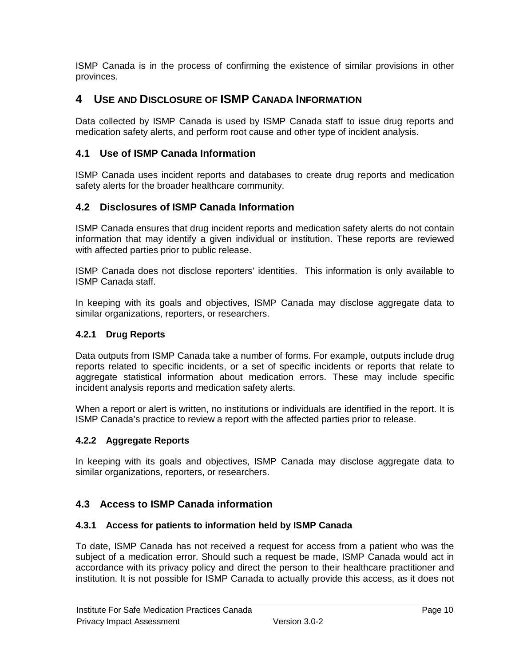ISMP Canada is in the process of confirming the existence of similar provisions in other provinces.

## **4 USE AND DISCLOSURE OF ISMP CANADA INFORMATION**

Data collected by ISMP Canada is used by ISMP Canada staff to issue drug reports and medication safety alerts, and perform root cause and other type of incident analysis.

#### **4.1 Use of ISMP Canada Information**

ISMP Canada uses incident reports and databases to create drug reports and medication safety alerts for the broader healthcare community.

#### **4.2 Disclosures of ISMP Canada Information**

ISMP Canada ensures that drug incident reports and medication safety alerts do not contain information that may identify a given individual or institution. These reports are reviewed with affected parties prior to public release.

ISMP Canada does not disclose reporters' identities. This information is only available to ISMP Canada staff.

In keeping with its goals and objectives, ISMP Canada may disclose aggregate data to similar organizations, reporters, or researchers.

#### **4.2.1 Drug Reports**

Data outputs from ISMP Canada take a number of forms. For example, outputs include drug reports related to specific incidents, or a set of specific incidents or reports that relate to aggregate statistical information about medication errors. These may include specific incident analysis reports and medication safety alerts.

When a report or alert is written, no institutions or individuals are identified in the report. It is ISMP Canada's practice to review a report with the affected parties prior to release.

#### **4.2.2 Aggregate Reports**

In keeping with its goals and objectives, ISMP Canada may disclose aggregate data to similar organizations, reporters, or researchers.

#### **4.3 Access to ISMP Canada information**

#### **4.3.1 Access for patients to information held by ISMP Canada**

To date, ISMP Canada has not received a request for access from a patient who was the subject of a medication error. Should such a request be made, ISMP Canada would act in accordance with its privacy policy and direct the person to their healthcare practitioner and institution. It is not possible for ISMP Canada to actually provide this access, as it does not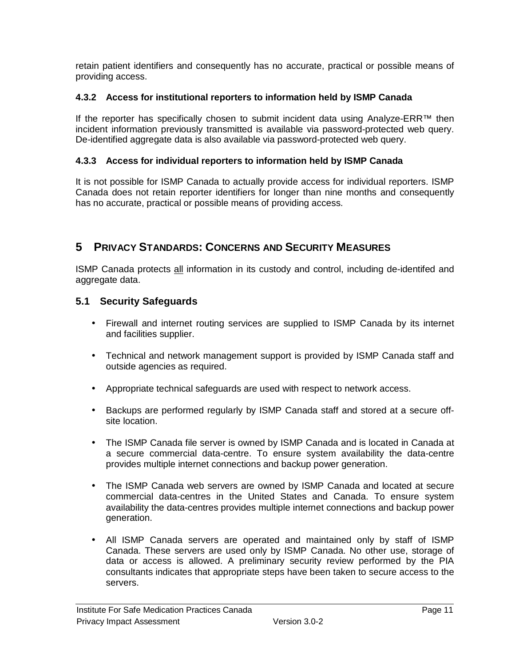retain patient identifiers and consequently has no accurate, practical or possible means of providing access.

#### **4.3.2 Access for institutional reporters to information held by ISMP Canada**

If the reporter has specifically chosen to submit incident data using Analyze-ERR™ then incident information previously transmitted is available via password-protected web query. De-identified aggregate data is also available via password-protected web query.

#### **4.3.3 Access for individual reporters to information held by ISMP Canada**

It is not possible for ISMP Canada to actually provide access for individual reporters. ISMP Canada does not retain reporter identifiers for longer than nine months and consequently has no accurate, practical or possible means of providing access.

# **5 PRIVACY STANDARDS: CONCERNS AND SECURITY MEASURES**

ISMP Canada protects all information in its custody and control, including de-identifed and aggregate data.

#### **5.1 Security Safeguards**

- Firewall and internet routing services are supplied to ISMP Canada by its internet and facilities supplier.
- Technical and network management support is provided by ISMP Canada staff and outside agencies as required.
- Appropriate technical safeguards are used with respect to network access.
- Backups are performed regularly by ISMP Canada staff and stored at a secure offsite location.
- The ISMP Canada file server is owned by ISMP Canada and is located in Canada at a secure commercial data-centre. To ensure system availability the data-centre provides multiple internet connections and backup power generation.
- The ISMP Canada web servers are owned by ISMP Canada and located at secure commercial data-centres in the United States and Canada. To ensure system availability the data-centres provides multiple internet connections and backup power generation.
- All ISMP Canada servers are operated and maintained only by staff of ISMP Canada. These servers are used only by ISMP Canada. No other use, storage of data or access is allowed. A preliminary security review performed by the PIA consultants indicates that appropriate steps have been taken to secure access to the servers.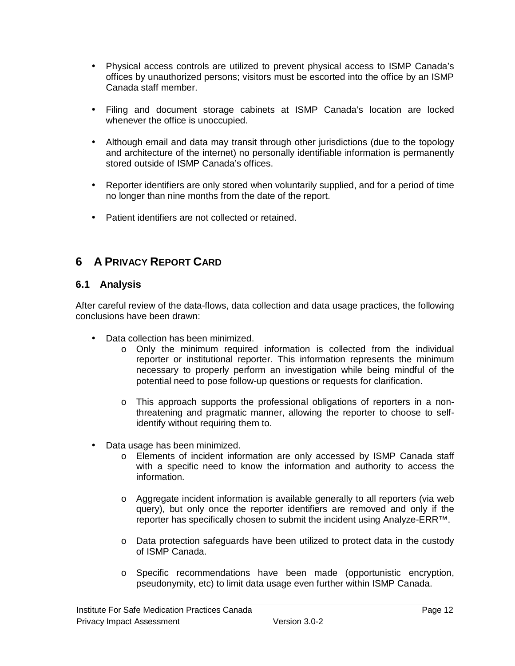- Physical access controls are utilized to prevent physical access to ISMP Canada's offices by unauthorized persons; visitors must be escorted into the office by an ISMP Canada staff member.
- Filing and document storage cabinets at ISMP Canada's location are locked whenever the office is unoccupied.
- Although email and data may transit through other jurisdictions (due to the topology and architecture of the internet) no personally identifiable information is permanently stored outside of ISMP Canada's offices.
- Reporter identifiers are only stored when voluntarily supplied, and for a period of time no longer than nine months from the date of the report.
- Patient identifiers are not collected or retained.

# **6 A PRIVACY REPORT CARD**

#### **6.1 Analysis**

After careful review of the data-flows, data collection and data usage practices, the following conclusions have been drawn:

- Data collection has been minimized.
	- o Only the minimum required information is collected from the individual reporter or institutional reporter. This information represents the minimum necessary to properly perform an investigation while being mindful of the potential need to pose follow-up questions or requests for clarification.
	- o This approach supports the professional obligations of reporters in a nonthreatening and pragmatic manner, allowing the reporter to choose to selfidentify without requiring them to.
- Data usage has been minimized.
	- o Elements of incident information are only accessed by ISMP Canada staff with a specific need to know the information and authority to access the information.
	- o Aggregate incident information is available generally to all reporters (via web query), but only once the reporter identifiers are removed and only if the reporter has specifically chosen to submit the incident using Analyze-ERR™.
	- o Data protection safeguards have been utilized to protect data in the custody of ISMP Canada.
	- o Specific recommendations have been made (opportunistic encryption, pseudonymity, etc) to limit data usage even further within ISMP Canada.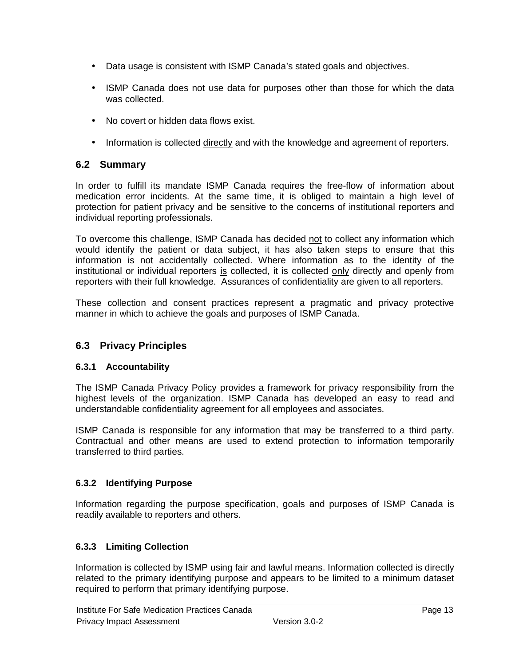- Data usage is consistent with ISMP Canada's stated goals and objectives.
- ISMP Canada does not use data for purposes other than those for which the data was collected.
- No covert or hidden data flows exist.
- Information is collected directly and with the knowledge and agreement of reporters.

#### **6.2 Summary**

In order to fulfill its mandate ISMP Canada requires the free-flow of information about medication error incidents. At the same time, it is obliged to maintain a high level of protection for patient privacy and be sensitive to the concerns of institutional reporters and individual reporting professionals.

To overcome this challenge, ISMP Canada has decided not to collect any information which would identify the patient or data subject, it has also taken steps to ensure that this information is not accidentally collected. Where information as to the identity of the institutional or individual reporters is collected, it is collected only directly and openly from reporters with their full knowledge. Assurances of confidentiality are given to all reporters.

These collection and consent practices represent a pragmatic and privacy protective manner in which to achieve the goals and purposes of ISMP Canada.

#### **6.3 Privacy Principles**

#### **6.3.1 Accountability**

The ISMP Canada Privacy Policy provides a framework for privacy responsibility from the highest levels of the organization. ISMP Canada has developed an easy to read and understandable confidentiality agreement for all employees and associates.

ISMP Canada is responsible for any information that may be transferred to a third party. Contractual and other means are used to extend protection to information temporarily transferred to third parties.

#### **6.3.2 Identifying Purpose**

Information regarding the purpose specification, goals and purposes of ISMP Canada is readily available to reporters and others.

#### **6.3.3 Limiting Collection**

Information is collected by ISMP using fair and lawful means. Information collected is directly related to the primary identifying purpose and appears to be limited to a minimum dataset required to perform that primary identifying purpose.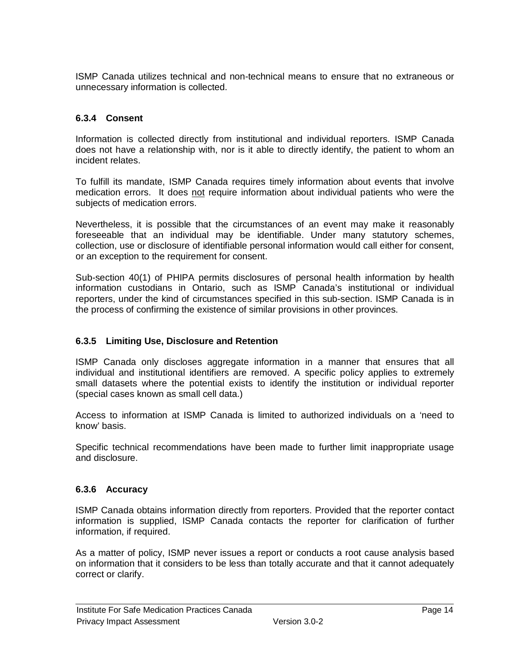ISMP Canada utilizes technical and non-technical means to ensure that no extraneous or unnecessary information is collected.

#### **6.3.4 Consent**

Information is collected directly from institutional and individual reporters. ISMP Canada does not have a relationship with, nor is it able to directly identify, the patient to whom an incident relates.

To fulfill its mandate, ISMP Canada requires timely information about events that involve medication errors. It does not require information about individual patients who were the subjects of medication errors.

Nevertheless, it is possible that the circumstances of an event may make it reasonably foreseeable that an individual may be identifiable. Under many statutory schemes, collection, use or disclosure of identifiable personal information would call either for consent, or an exception to the requirement for consent.

Sub-section 40(1) of PHIPA permits disclosures of personal health information by health information custodians in Ontario, such as ISMP Canada's institutional or individual reporters, under the kind of circumstances specified in this sub-section. ISMP Canada is in the process of confirming the existence of similar provisions in other provinces.

#### **6.3.5 Limiting Use, Disclosure and Retention**

ISMP Canada only discloses aggregate information in a manner that ensures that all individual and institutional identifiers are removed. A specific policy applies to extremely small datasets where the potential exists to identify the institution or individual reporter (special cases known as small cell data.)

Access to information at ISMP Canada is limited to authorized individuals on a 'need to know' basis.

Specific technical recommendations have been made to further limit inappropriate usage and disclosure.

#### **6.3.6 Accuracy**

ISMP Canada obtains information directly from reporters. Provided that the reporter contact information is supplied, ISMP Canada contacts the reporter for clarification of further information, if required.

As a matter of policy, ISMP never issues a report or conducts a root cause analysis based on information that it considers to be less than totally accurate and that it cannot adequately correct or clarify.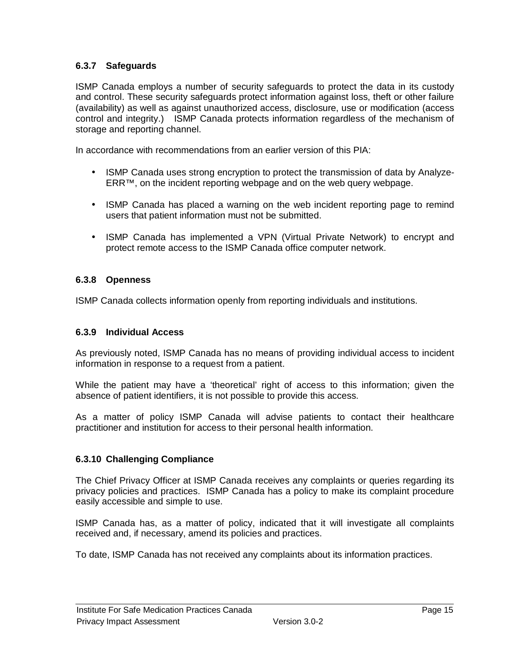#### **6.3.7 Safeguards**

ISMP Canada employs a number of security safeguards to protect the data in its custody and control. These security safeguards protect information against loss, theft or other failure (availability) as well as against unauthorized access, disclosure, use or modification (access control and integrity.) ISMP Canada protects information regardless of the mechanism of storage and reporting channel.

In accordance with recommendations from an earlier version of this PIA:

- ISMP Canada uses strong encryption to protect the transmission of data by Analyze-ERR™, on the incident reporting webpage and on the web query webpage.
- ISMP Canada has placed a warning on the web incident reporting page to remind users that patient information must not be submitted.
- ISMP Canada has implemented a VPN (Virtual Private Network) to encrypt and protect remote access to the ISMP Canada office computer network.

#### **6.3.8 Openness**

ISMP Canada collects information openly from reporting individuals and institutions.

#### **6.3.9 Individual Access**

As previously noted, ISMP Canada has no means of providing individual access to incident information in response to a request from a patient.

While the patient may have a 'theoretical' right of access to this information; given the absence of patient identifiers, it is not possible to provide this access.

As a matter of policy ISMP Canada will advise patients to contact their healthcare practitioner and institution for access to their personal health information.

#### **6.3.10 Challenging Compliance**

The Chief Privacy Officer at ISMP Canada receives any complaints or queries regarding its privacy policies and practices. ISMP Canada has a policy to make its complaint procedure easily accessible and simple to use.

ISMP Canada has, as a matter of policy, indicated that it will investigate all complaints received and, if necessary, amend its policies and practices.

To date, ISMP Canada has not received any complaints about its information practices.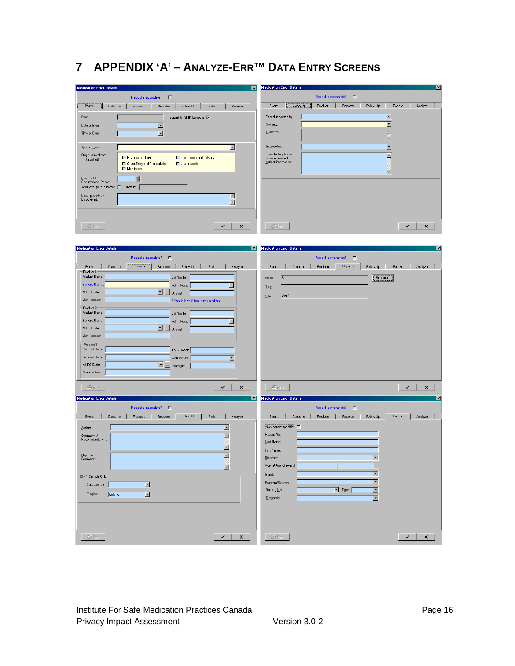# **7 APPENDIX 'A' – ANALYZE-ERR™ DATA ENTRY SCREENS**

| <b>Medication Error Details</b><br>$\overline{\mathbf{z}}$                                       | <b>Medication Error Details</b><br>図                                                |
|--------------------------------------------------------------------------------------------------|-------------------------------------------------------------------------------------|
|                                                                                                  | Record is incomplete? $\square$                                                     |
| Record is incomplete?<br>л                                                                       |                                                                                     |
| Event<br>Outcome<br>Products<br>Reporter<br>Follow Up<br>Patient<br>Analyzer                     | <b>Outcome</b><br>Products<br>Follow Up<br>Patient<br>Event<br>Reporter<br>Analyzer |
| Event<br>Submit to ISMP Canada?                                                                  | $\overline{ }$<br>Error discovered by:                                              |
| $\Box$<br>Date of Event:                                                                         | $\overline{\phantom{a}}$<br>Severity:                                               |
|                                                                                                  | $\equiv$<br>Qutcome:                                                                |
| Time of Event:<br>$\Box$                                                                         | $\overline{\phantom{a}}$                                                            |
|                                                                                                  | Intervention:                                                                       |
| $\overline{ }$<br>Type of Error:                                                                 | ⊡                                                                                   |
| Stage(s) involved:<br>Physician ordering<br>Dispensing and delivery<br>(required)                | If available, please<br>$\equiv$<br>provide relevant                                |
| Order Entry and Transcription<br>Administration                                                  | gatient information:                                                                |
| Monitoring                                                                                       | $\blacksquare$                                                                      |
| Number Of<br>Occurrences/Doses:<br>冒                                                             |                                                                                     |
| Was error perpetuated? $\Box$<br>$\mathbf{\underline{D}}$ etails:                                |                                                                                     |
|                                                                                                  |                                                                                     |
| Description/How<br>$\triangleq$<br>Discovered:                                                   |                                                                                     |
| $\overline{\phantom{a}}$                                                                         |                                                                                     |
|                                                                                                  |                                                                                     |
|                                                                                                  |                                                                                     |
| <b>⊜</b> Pint<br>$\checkmark$<br>×                                                               | <b>△</b> Print<br>$\checkmark$<br>$\pmb{\times}$                                    |
|                                                                                                  |                                                                                     |
|                                                                                                  |                                                                                     |
| <b>Medication Error Details</b><br>図                                                             | <b>Medication Error Details</b><br>区                                                |
| Record is incomplete?<br>$\Box$                                                                  | Record is incomplete? $\square$                                                     |
|                                                                                                  |                                                                                     |
| Products<br>Event<br><b>Outcome</b><br>Reporter<br>Follow Up<br>Patient<br>Analyzer<br>Product 1 | Reporter<br>Event<br><b>Outcome</b><br>Products<br>Follow Up<br>Patient<br>Analyzer |
| Product Name:<br>Lot Number:                                                                     | S1<br>Reporter.<br>Name:                                                            |
| Generic Name*<br>Adm Route:<br>⊡                                                                 |                                                                                     |
| AHFS Code:<br>$\blacksquare$<br>Strength:                                                        | Litle:                                                                              |
| Manufacturer:<br>*Type in N/A if drug is not involved                                            | Site 1<br>Site:                                                                     |
|                                                                                                  |                                                                                     |
| Product 2<br>Product Name:<br>Lot Number:                                                        |                                                                                     |
| Generic Name:<br>Adm Route:<br>$\overline{\phantom{a}}$                                          |                                                                                     |
| AHFS Code:<br>圖                                                                                  |                                                                                     |
| Strength:                                                                                        |                                                                                     |
| Manufacturer:                                                                                    |                                                                                     |
| Product 3<br>Product Name:<br>Lot Number:                                                        |                                                                                     |
|                                                                                                  |                                                                                     |
| Generic Name:<br>Adm Route:<br>$\overline{ }$                                                    |                                                                                     |
| AHFS Code:<br>◘<br>Strength:                                                                     |                                                                                     |
| Manufacturer:                                                                                    |                                                                                     |
|                                                                                                  |                                                                                     |
| <b>△</b> Pint<br>✓<br>×                                                                          | <b>△</b> Pint<br>✓<br>×                                                             |
| <b>Medication Error Details</b><br>図                                                             | <b>Medication Error Details</b><br>図                                                |
|                                                                                                  |                                                                                     |
| Record is incomplete? F                                                                          | Record is incomplete? $\square$                                                     |
| Follow Up<br>Event<br>Outcome<br>Products<br>Reporter<br>Patient<br>Analyzer                     | Patient<br>Event<br>Outcome<br>Products<br>Reporter<br>Follow Up<br>Analyzer        |
| $\blacksquare$<br>Action:                                                                        | Non-patient specific:                                                               |
| E                                                                                                | Patient No:                                                                         |
| Comments /<br>Recommendations:                                                                   | Last Name:                                                                          |
| $\overline{\mathbb{E}}$                                                                          | Eirst Name:                                                                         |
| Physician<br>$\boxed{\mathbb{R}}$                                                                |                                                                                     |
| Comments:                                                                                        | Birthdate:                                                                          |
| $\Box$                                                                                           | $\overline{\phantom{a}}$<br>Age (at time of event):                                 |
| ISMP Canada Only                                                                                 | $\blacksquare$<br>Gender:                                                           |
| E<br>Data Source:                                                                                | $\overline{\phantom{a}}$<br>Program/Service:                                        |
|                                                                                                  | $\overline{\phantom{a}}$<br>Nursing Unit:<br>$\boxed{\blacksquare}$ Type:           |
| $\overline{\phantom{a}}$<br>Region:<br>Ontario                                                   | $\overline{\phantom{a}}$<br>Diagnosis:                                              |
|                                                                                                  |                                                                                     |
|                                                                                                  |                                                                                     |
|                                                                                                  |                                                                                     |
|                                                                                                  |                                                                                     |
|                                                                                                  |                                                                                     |
| $\checkmark$<br><b>⊜</b> Pint<br>$\pmb{\times}$                                                  | $\checkmark$<br><b>€</b> Pmt<br>$\pmb{\times}$                                      |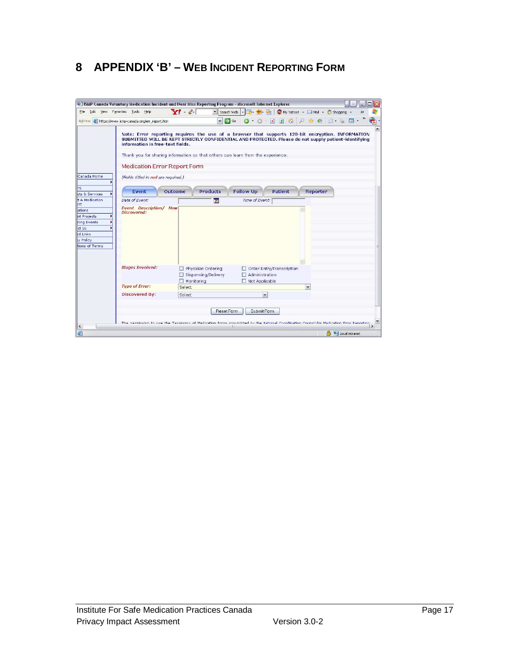# **8 APPENDIX 'B' – WEB INCIDENT REPORTING FORM**

| $\Box$ Go<br>国国合<br>Address <b>C</b> https://www.ismp-canada.org/err_report.htm<br>$A - P$<br>$\mathbf{v}$<br>$\odot$<br>Note: Error reporting requires the use of a browser that supports 128-bit encryption. INFORMATION<br>SUBMITTED WILL BE KEPT STRICTLY CONFIDENTIAL AND PROTECTED. Please do not supply patient-identifying<br>information in free-text fields.<br>Thank you for sharing information so that others can learn from the experience.<br><b>Medication Error Report Form</b><br>(Fields titled in red are required.)<br>Event<br><b>Follow Up</b><br>Patient<br>Outcome<br><b>Products</b><br>Reporter<br>cts & Services<br>t A Medication<br>Date of Event:<br>Time of Event:<br>$\overline{15}$<br><b>Event Description/ How</b><br>Discovered:<br>tions of Terms<br><b>Stages Involved:</b><br>Physician Ordering<br>Order Entry/Transcription<br>Administration<br>Dispensing/Delivery<br>$\Box$ Monitoring<br>Not Applicable<br><b>Type of Error:</b><br><b>Select</b><br>$\checkmark$<br><b>Discovered By:</b><br>×<br>Select<br>Reset Form<br>Submit Form<br>The nermission to use the Tavonomu of Medication Frans convicibited by the National Coordination Council for Medication Fran Renorting |             | E] ISMP Canada Voluntary Medication Incident and Near Miss Reporting Program - Microsoft Internet Explorer<br>File Edit View Favorites Tools Help | $Y'$ $\ell$ | $\blacktriangleright$ Search Web $\blacktriangleright$ $\Box \blacktriangleright$ $\Box$ | My Yahoo! . Mail . i Shopping . |  |
|--------------------------------------------------------------------------------------------------------------------------------------------------------------------------------------------------------------------------------------------------------------------------------------------------------------------------------------------------------------------------------------------------------------------------------------------------------------------------------------------------------------------------------------------------------------------------------------------------------------------------------------------------------------------------------------------------------------------------------------------------------------------------------------------------------------------------------------------------------------------------------------------------------------------------------------------------------------------------------------------------------------------------------------------------------------------------------------------------------------------------------------------------------------------------------------------------------------------------------|-------------|---------------------------------------------------------------------------------------------------------------------------------------------------|-------------|------------------------------------------------------------------------------------------|---------------------------------|--|
|                                                                                                                                                                                                                                                                                                                                                                                                                                                                                                                                                                                                                                                                                                                                                                                                                                                                                                                                                                                                                                                                                                                                                                                                                                |             |                                                                                                                                                   |             |                                                                                          |                                 |  |
|                                                                                                                                                                                                                                                                                                                                                                                                                                                                                                                                                                                                                                                                                                                                                                                                                                                                                                                                                                                                                                                                                                                                                                                                                                | Canada Home |                                                                                                                                                   |             |                                                                                          |                                 |  |
|                                                                                                                                                                                                                                                                                                                                                                                                                                                                                                                                                                                                                                                                                                                                                                                                                                                                                                                                                                                                                                                                                                                                                                                                                                |             |                                                                                                                                                   |             |                                                                                          |                                 |  |
|                                                                                                                                                                                                                                                                                                                                                                                                                                                                                                                                                                                                                                                                                                                                                                                                                                                                                                                                                                                                                                                                                                                                                                                                                                |             |                                                                                                                                                   |             |                                                                                          |                                 |  |
|                                                                                                                                                                                                                                                                                                                                                                                                                                                                                                                                                                                                                                                                                                                                                                                                                                                                                                                                                                                                                                                                                                                                                                                                                                |             |                                                                                                                                                   |             |                                                                                          |                                 |  |
|                                                                                                                                                                                                                                                                                                                                                                                                                                                                                                                                                                                                                                                                                                                                                                                                                                                                                                                                                                                                                                                                                                                                                                                                                                |             |                                                                                                                                                   |             |                                                                                          |                                 |  |
|                                                                                                                                                                                                                                                                                                                                                                                                                                                                                                                                                                                                                                                                                                                                                                                                                                                                                                                                                                                                                                                                                                                                                                                                                                |             |                                                                                                                                                   |             |                                                                                          |                                 |  |
|                                                                                                                                                                                                                                                                                                                                                                                                                                                                                                                                                                                                                                                                                                                                                                                                                                                                                                                                                                                                                                                                                                                                                                                                                                |             |                                                                                                                                                   |             |                                                                                          |                                 |  |
|                                                                                                                                                                                                                                                                                                                                                                                                                                                                                                                                                                                                                                                                                                                                                                                                                                                                                                                                                                                                                                                                                                                                                                                                                                |             |                                                                                                                                                   |             |                                                                                          |                                 |  |
|                                                                                                                                                                                                                                                                                                                                                                                                                                                                                                                                                                                                                                                                                                                                                                                                                                                                                                                                                                                                                                                                                                                                                                                                                                |             |                                                                                                                                                   |             |                                                                                          |                                 |  |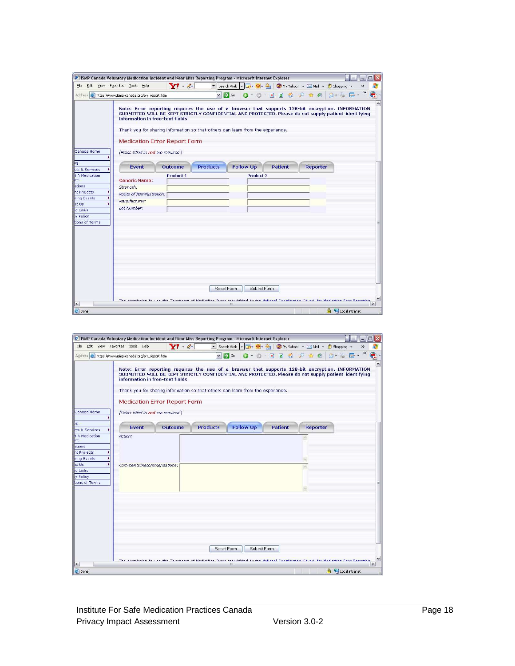|                                                                                                                                                                | E ISMP Canada Voluntary Medication Incident and Near Miss Reporting Program - Microsoft Internet Explorer (#                                                                                                                                                                                                                                                                                                                                                                                                                                                                                           | $\Box X$                                               |
|----------------------------------------------------------------------------------------------------------------------------------------------------------------|--------------------------------------------------------------------------------------------------------------------------------------------------------------------------------------------------------------------------------------------------------------------------------------------------------------------------------------------------------------------------------------------------------------------------------------------------------------------------------------------------------------------------------------------------------------------------------------------------------|--------------------------------------------------------|
| File                                                                                                                                                           | $Y^{\prime}$ $\ell$<br>Edit View Favorites Tools Help                                                                                                                                                                                                                                                                                                                                                                                                                                                                                                                                                  |                                                        |
|                                                                                                                                                                | $\vee$ $\rightarrow$ Go<br>Address <b>a</b> https://www.ismp-canada.org/err report.htm                                                                                                                                                                                                                                                                                                                                                                                                                                                                                                                 | $Q \cdot Q \cdot R$ 2 $Q \cdot P \cdot R$<br>$A - B$   |
| Canada Home<br>Þs<br>cts & Services<br><b>1 A Medication</b><br>Int.<br>ations<br>nt Projects<br>ning Events<br>ct Us<br>d Links<br>v Policy<br>tions of Terms | Note: Error reporting requires the use of a browser that supports 128-bit encryption. INFORMATION<br>SUBMITTED WILL BE KEPT STRICTLY CONFIDENTIAL AND PROTECTED. Please do not supply patient-identifying<br>information in free-text fields.<br>Thank you for sharing information so that others can learn from the experience.<br><b>Medication Error Report Form</b><br>(Fields titled in red are required.)<br><b>Products</b><br><b>Follow Up</b><br>Fvent<br>Outcome<br>Product 1<br><b>Generic Name:</b><br>Strength:<br>Route of Administration:<br>Manufacturer:<br>Lot Number:<br>Reset Form | Patient<br>Reporter<br><b>Product 2</b><br>Submit Form |
|                                                                                                                                                                |                                                                                                                                                                                                                                                                                                                                                                                                                                                                                                                                                                                                        |                                                        |
|                                                                                                                                                                | The nermission to use the Tayonomy of Medication Frrors convictited by the National Coordination Council for Medication Frror Renorting                                                                                                                                                                                                                                                                                                                                                                                                                                                                |                                                        |

| Edit View Favorites Tools<br>File                                                                                       | E] ISMP Canada Voluntary Medication Incident and Near Miss Reporting Program - Microsoft Internet Explorer<br>Help | $Y^{\prime}$ $\ell$                                                     |                 | $\blacktriangleright$ Search Web $\blacktriangleright$<br>$\Box \cdot \oplus \cdot \bigcirc$                                                                                                                                                                                                 |                                 | WWW Yahoo! - Mail - iD Shopping - | $\square$                                  |
|-------------------------------------------------------------------------------------------------------------------------|--------------------------------------------------------------------------------------------------------------------|-------------------------------------------------------------------------|-----------------|----------------------------------------------------------------------------------------------------------------------------------------------------------------------------------------------------------------------------------------------------------------------------------------------|---------------------------------|-----------------------------------|--------------------------------------------|
|                                                                                                                         | Address <b>C</b> https://www.ismp-canada.org/err_report.htm                                                        |                                                                         | $\vee$          | $\Rightarrow$ Go                                                                                                                                                                                                                                                                             | $Q$ + $Q$ + $R$ $R$ + $Q$ + $Q$ | $\mathbb{R}$                      |                                            |
| Canada Home                                                                                                             | (Fields titled in red are required.)                                                                               | information in free-text fields.<br><b>Medication Error Report Form</b> |                 | Note: Error reporting requires the use of a browser that supports 128-bit encryption. INFORMATION<br>SUBMITTED WILL BE KEPT STRICTLY CONFIDENTIAL AND PROTECTED. Please do not supply patient-identifying<br>Thank you for sharing information so that others can learn from the experience. |                                 |                                   | $\sim$                                     |
| ÞS<br>cts & Services                                                                                                    | Event                                                                                                              | Outcome                                                                 | <b>Products</b> | Follow Up                                                                                                                                                                                                                                                                                    | Patient                         | Reporter                          |                                            |
| t A Medication<br>int.<br>ations<br>nt Projects<br>ning Events<br>ct Us<br>d Links<br><b>y</b> Policy<br>tions of Terms | Action:<br>Comments/Recommendations:                                                                               |                                                                         |                 |                                                                                                                                                                                                                                                                                              |                                 |                                   |                                            |
| $\leq$<br>e   Done                                                                                                      |                                                                                                                    |                                                                         |                 | Submit Form<br>Reset Form<br>The nermiccion to use the Tavonomu of Medication Frrors convidedable the National Conrelination Council for Medication Frror Renorting                                                                                                                          |                                 |                                   | $\rightarrow$<br><b>A U</b> Local intranet |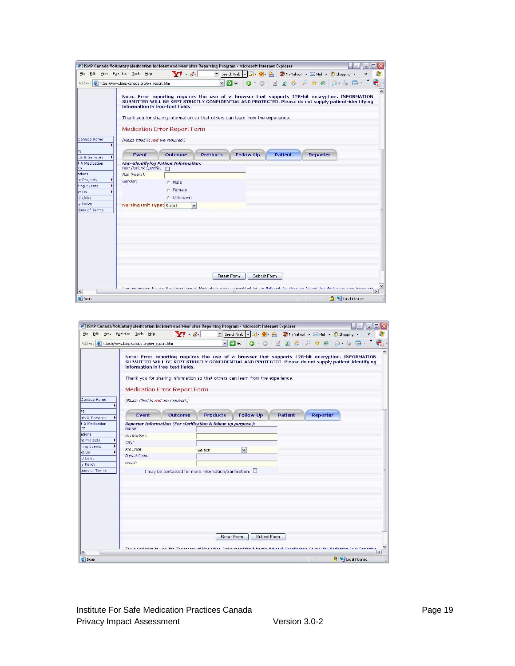|                  | Edit View Favorites Tools Help                              | Y!                                                                                                                                                                                                                                                                                           |                         | ▼ Search Web   ▼   → <del>  ■</del> • <del>●</del> • ●   ● My Yahoo! • △ Mail • ● Shopping • |             |                |          |         |           |
|------------------|-------------------------------------------------------------|----------------------------------------------------------------------------------------------------------------------------------------------------------------------------------------------------------------------------------------------------------------------------------------------|-------------------------|----------------------------------------------------------------------------------------------|-------------|----------------|----------|---------|-----------|
|                  | Address <b>C</b> https://www.ismp-canada.org/err_report.htm |                                                                                                                                                                                                                                                                                              | $\vee$ $\Rightarrow$ Go |                                                                                              |             |                |          | $A - B$ | $\bullet$ |
|                  | information in free-text fields.                            | Note: Error reporting requires the use of a browser that supports 128-bit encryption. INFORMATION<br>SUBMITTED WILL BE KEPT STRICTLY CONFIDENTIAL AND PROTECTED. Please do not supply patient-identifying<br>Thank you for sharing information so that others can learn from the experience. |                         |                                                                                              |             |                |          |         |           |
|                  |                                                             | <b>Medication Error Report Form</b>                                                                                                                                                                                                                                                          |                         |                                                                                              |             |                |          |         |           |
| Canada Home      | (Fields titled in red are required.)                        |                                                                                                                                                                                                                                                                                              |                         |                                                                                              |             |                |          |         |           |
| cts & Services   | Fvent                                                       | Outcome                                                                                                                                                                                                                                                                                      | <b>Products</b>         | <b>Follow Up</b>                                                                             |             | <b>Patient</b> | Reporter |         |           |
| t A Medication   | Non-Patient Specific:                                       | Non-identifying Patient Information:<br>Г                                                                                                                                                                                                                                                    |                         |                                                                                              |             |                |          |         |           |
| ations           | Age (years):                                                |                                                                                                                                                                                                                                                                                              |                         |                                                                                              |             |                |          |         |           |
| nt Projects      | Gender:                                                     | Male<br>r                                                                                                                                                                                                                                                                                    |                         |                                                                                              |             |                |          |         |           |
| ning Events      |                                                             | $C$ Female                                                                                                                                                                                                                                                                                   |                         |                                                                                              |             |                |          |         |           |
| ct Us<br>d Links |                                                             | C Unknown                                                                                                                                                                                                                                                                                    |                         |                                                                                              |             |                |          |         |           |
| ty Policy        | <b>Nursing Unit Type: Select</b>                            | $\checkmark$                                                                                                                                                                                                                                                                                 |                         |                                                                                              |             |                |          |         |           |
| tions of Terms   |                                                             |                                                                                                                                                                                                                                                                                              |                         |                                                                                              |             |                |          |         |           |
|                  |                                                             |                                                                                                                                                                                                                                                                                              |                         |                                                                                              |             |                |          |         |           |
|                  |                                                             |                                                                                                                                                                                                                                                                                              |                         |                                                                                              |             |                |          |         |           |
|                  |                                                             |                                                                                                                                                                                                                                                                                              |                         |                                                                                              |             |                |          |         |           |
|                  |                                                             |                                                                                                                                                                                                                                                                                              |                         |                                                                                              |             |                |          |         |           |
|                  |                                                             |                                                                                                                                                                                                                                                                                              |                         |                                                                                              |             |                |          |         |           |
|                  |                                                             |                                                                                                                                                                                                                                                                                              |                         |                                                                                              |             |                |          |         |           |
|                  |                                                             |                                                                                                                                                                                                                                                                                              |                         |                                                                                              |             |                |          |         |           |
|                  |                                                             |                                                                                                                                                                                                                                                                                              | Reset Form              |                                                                                              | Submit Form |                |          |         |           |
|                  |                                                             |                                                                                                                                                                                                                                                                                              |                         |                                                                                              |             |                |          |         |           |
|                  |                                                             | The nermiccion to use the Tavonomu of Medication Frrors convicibited by the National Coordination Council for Medication Frror Renorting                                                                                                                                                     |                         |                                                                                              |             |                |          |         |           |

|                                                                                                 |                                                                       |                                                                         |                 | [6] ISMP Canada Voluntary Medication Incident and Near Miss Reporting Program - Microsoft Internet Explorer |                         |                                                                                                                                                                                                           | □                       |
|-------------------------------------------------------------------------------------------------|-----------------------------------------------------------------------|-------------------------------------------------------------------------|-----------------|-------------------------------------------------------------------------------------------------------------|-------------------------|-----------------------------------------------------------------------------------------------------------------------------------------------------------------------------------------------------------|-------------------------|
| File                                                                                            | Edit View Favorites Tools<br>Help                                     | $Y' \cdot \mathscr{C}$                                                  |                 |                                                                                                             |                         | ▼ Search Web   ▼   → <del>  ■</del> • <del>●</del> • ●   ● My Yahoo! • △ Mail • ● Shopping •                                                                                                              | $\rightarrow$           |
|                                                                                                 | Address <b>C</b> https://www.ismp-canada.org/err_report.htm           |                                                                         |                 | $\vee$ $\rightarrow$ Go                                                                                     | $Q \cdot Q =  A $ 2 $Q$ |                                                                                                                                                                                                           | $\bigcirc$ . $\bigcirc$ |
| Canada Home                                                                                     | (Fields titled in red are required.)                                  | information in free-text fields.<br><b>Medication Error Report Form</b> |                 | Thank you for sharing information so that others can learn from the experience.                             |                         | Note: Error reporting requires the use of a browser that supports 128-bit encryption. INFORMATION<br>SUBMITTED WILL BE KEPT STRICTLY CONFIDENTIAL AND PROTECTED. Please do not supply patient-identifying |                         |
|                                                                                                 |                                                                       |                                                                         |                 |                                                                                                             |                         |                                                                                                                                                                                                           |                         |
| cts & Services                                                                                  | Fvent                                                                 | Outcome                                                                 | <b>Products</b> | <b>Follow Up</b>                                                                                            | Patient                 | Reporter                                                                                                                                                                                                  |                         |
| Int.<br>ations<br>nt Projects<br>ning Events<br>ct Us<br>d Links<br>by Policy<br>tions of Terms | Name:<br>Institution:<br>City:<br>Province:<br>Postal Code:<br>email: | I may be contacted for more information/clarification: $\square$        | Select          | $\checkmark$                                                                                                |                         |                                                                                                                                                                                                           |                         |
|                                                                                                 |                                                                       |                                                                         |                 | <b>ResetForm</b><br>Submit Form<br>ш                                                                        |                         | The nermiccion to use the Tavonomu of Medication Frrors convinibled by the National Coordination Council for Medication From Renorting                                                                    | $\rightarrow$           |
|                                                                                                 |                                                                       |                                                                         |                 |                                                                                                             |                         |                                                                                                                                                                                                           |                         |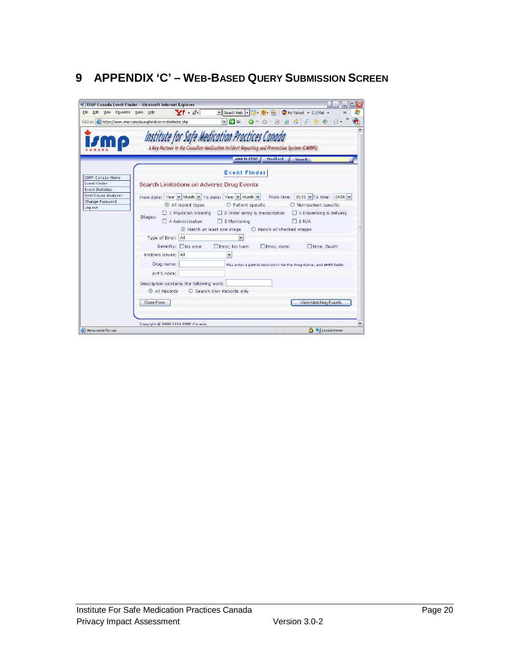# **9 APPENDIX 'C' – WEB-BASED QUERY SUBMISSION SCREEN**

| <b>#15MP Canada Event Finder - Microsoft Internet Explorer</b><br>File Edit View Favorites Tools Help |                                    | $\mathbf{V}$ $\ell$                                                                                                                   | $\mathbf{v}$ Search Web $\mathbf{v}$ | 日.                         | $\square$ $\times$<br>Mail + Mail +<br>$\rightarrow$                            |
|-------------------------------------------------------------------------------------------------------|------------------------------------|---------------------------------------------------------------------------------------------------------------------------------------|--------------------------------------|----------------------------|---------------------------------------------------------------------------------|
| Address et https://www.ismp-canada.org/analyze-err/aefinder.php                                       |                                    |                                                                                                                                       | $\Rightarrow$ Go<br>$\vert$ $\vert$  |                            |                                                                                 |
|                                                                                                       |                                    | te for Safe Medication Practices Canada<br>A Key Partner in the Canadian Medication Incident Reporting and Prevention System (CMIRPS) |                                      |                            |                                                                                 |
|                                                                                                       |                                    |                                                                                                                                       | Link to ISMP                         | Feedback                   | Search:                                                                         |
| <b>ISMP Canada Home</b>                                                                               |                                    |                                                                                                                                       | <b>Event Finder</b>                  |                            |                                                                                 |
| <b>Event Finder</b><br><b>Event Statistics</b>                                                        |                                    | Search Limitations on Adverse Drug Events                                                                                             |                                      |                            |                                                                                 |
| Root Cause Analyzer<br>Change Password                                                                |                                    | From date: Year v   Month v   To date: Year v   Month v  <br>All record types                                                         | O Patient specific                   |                            | From time: $00:00 \times T$ o time:<br>$24:00 \times$<br>O Non-patient specific |
| Log out                                                                                               | Stages:                            | $\Box$ 1 Physician ordering $\Box$ 2 Order entry & transcription<br>$\Box$ 4 Administration<br>◉ Match at least one stage             | $\Box$ 5 Monitoring                  | O Match all checked stages | 3 Dispensing & delivery<br>$\Box$ 6 N/A                                         |
|                                                                                                       | Type of Error: All                 |                                                                                                                                       |                                      |                            |                                                                                 |
|                                                                                                       |                                    | Severity: No error                                                                                                                    | Error, No harm                       | Error, Harm                | Error, Death                                                                    |
|                                                                                                       | Problem issues: All                |                                                                                                                                       | $\checkmark$                         |                            |                                                                                 |
|                                                                                                       | Drug name:                         |                                                                                                                                       |                                      |                            | May enter a partial description for the Drug Name, and AHFS fields.             |
|                                                                                                       | AHFS code:                         |                                                                                                                                       |                                      |                            |                                                                                 |
|                                                                                                       |                                    | Description contains the following word:                                                                                              |                                      |                            |                                                                                 |
|                                                                                                       |                                    | All Records C Search Own Records only                                                                                                 |                                      |                            |                                                                                 |
|                                                                                                       | Clear Form                         |                                                                                                                                       |                                      |                            | View Matching Events                                                            |
|                                                                                                       |                                    |                                                                                                                                       |                                      |                            |                                                                                 |
|                                                                                                       | Copyright @ 2000-2004 ISMP Canada. |                                                                                                                                       |                                      |                            |                                                                                 |